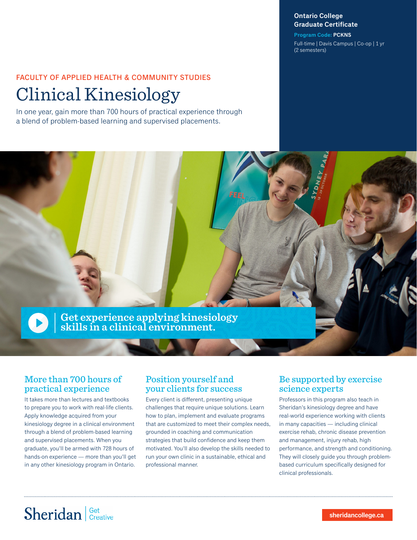#### **Ontario College Graduate Certificate**

**Program Code: PCKNS** Full-time | Davis Campus | Co-op | 1 yr (2 semesters)

### FACULTY OF APPLIED HEALTH & COMMUNITY STUDIES

# Clinical Kinesiology

In one year, gain more than 700 hours of practical experience through a blend of problem-based learning and supervised placements.



### More than 700 hours of practical experience

It takes more than lectures and textbooks to prepare you to work with real-life clients. Apply knowledge acquired from your kinesiology degree in a clinical environment through a blend of problem-based learning and supervised placements. When you graduate, you'll be armed with 728 hours of hands-on experience — more than you'll get in any other kinesiology program in Ontario.

### Position yourself and your clients for success

Every client is different, presenting unique challenges that require unique solutions. Learn how to plan, implement and evaluate programs that are customized to meet their complex needs, grounded in coaching and communication strategies that build confidence and keep them motivated. You'll also develop the skills needed to run your own clinic in a sustainable, ethical and professional manner.

### Be supported by exercise science experts

Professors in this program also teach in Sheridan's kinesiology degree and have real-world experience working with clients in many capacities — including clinical exercise rehab, chronic disease prevention and management, injury rehab, high performance, and strength and conditioning. They will closely guide you through problembased curriculum specifically designed for clinical professionals.

# Sheridan | Get Creative